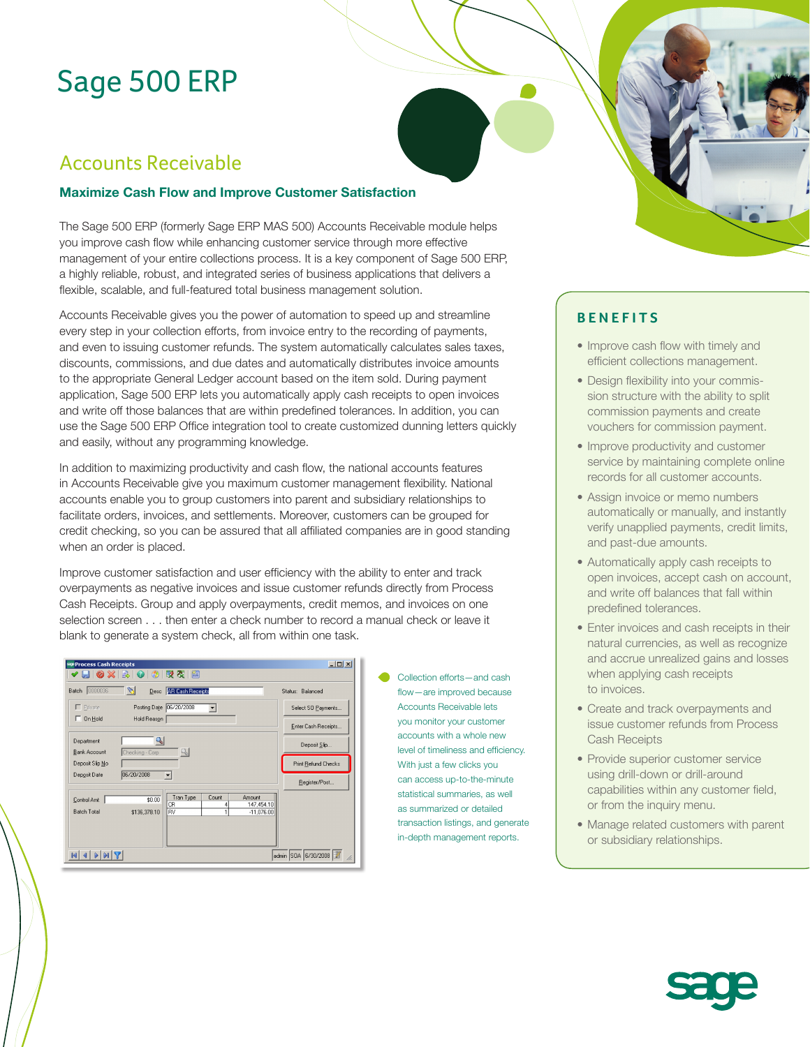# Sage 500 ERP

## Accounts Receivable

#### **Maximize Cash Flow and Improve Customer Satisfaction**

The Sage 500 ERP (formerly Sage ERP MAS 500) Accounts Receivable module helps you improve cash flow while enhancing customer service through more effective management of your entire collections process. It is a key component of Sage 500 ERP, a highly reliable, robust, and integrated series of business applications that delivers a flexible, scalable, and full-featured total business management solution.

Accounts Receivable gives you the power of automation to speed up and streamline every step in your collection efforts, from invoice entry to the recording of payments, and even to issuing customer refunds. The system automatically calculates sales taxes, discounts, commissions, and due dates and automatically distributes invoice amounts to the appropriate General Ledger account based on the item sold. During payment application, Sage 500 ERP lets you automatically apply cash receipts to open invoices and write off those balances that are within predefined tolerances. In addition, you can use the Sage 500 ERP Office integration tool to create customized dunning letters quickly and easily, without any programming knowledge.

In addition to maximizing productivity and cash flow, the national accounts features in Accounts Receivable give you maximum customer management flexibility. National accounts enable you to group customers into parent and subsidiary relationships to facilitate orders, invoices, and settlements. Moreover, customers can be grouped for credit checking, so you can be assured that all affiliated companies are in good standing when an order is placed.

Improve customer satisfaction and user efficiency with the ability to enter and track overpayments as negative invoices and issue customer refunds directly from Process Cash Receipts. Group and apply overpayments, credit memos, and invoices on one selection screen . . . then enter a check number to record a manual check or leave it blank to generate a system check, all from within one task.

| see Process Cash Receipts                              | $-12x$                                     |
|--------------------------------------------------------|--------------------------------------------|
| $\bullet$ 0 3 5 6 $\%$<br>闇<br>0 X<br>{⊌⊤<br><b>ER</b> |                                            |
| O.<br>Batch 0000036                                    | Desc AR Cash Receipts<br>Status: Balanced  |
| Posting Date 06/20/2008<br>$\Gamma$ Private            | Select SO Payments                         |
| $\Box$ On Hold<br>Hold Reason                          | Enter Cash Receipts                        |
| $\mathcal{L}$<br>Department                            | Deposit Slip                               |
| Bank Account<br>Checking - Corp<br>Deposit Slip No     | 9.<br>Print Refund Checks                  |
| 06/20/2008<br>Deposit Date                             | Register/Post                              |
| \$0.00<br>Control Amt<br>CR                            | Tran Type<br>Amount<br>Count<br>147,454.10 |
| <b>Batch Total</b><br>RV<br>\$136,378.10               | $-11,076.00$                               |
|                                                        |                                            |
| admin SOA 6/30/2008<br> 4                              |                                            |

Collection efforts—and cash flow—are improved because Accounts Receivable lets you monitor your customer accounts with a whole new level of timeliness and efficiency. With just a few clicks you can access up-to-the-minute statistical summaries, as well as summarized or detailed transaction listings, and generate in-depth management reports.



- Improve cash flow with timely and efficient collections management.
- Design flexibility into your commission structure with the ability to split commission payments and create vouchers for commission payment.
- Improve productivity and customer service by maintaining complete online records for all customer accounts.
- Assign invoice or memo numbers automatically or manually, and instantly verify unapplied payments, credit limits, and past-due amounts.
- Automatically apply cash receipts to open invoices, accept cash on account, and write off balances that fall within predefined tolerances.
- Enter invoices and cash receipts in their natural currencies, as well as recognize and accrue unrealized gains and losses when applying cash receipts to invoices.
- Create and track overpayments and issue customer refunds from Process Cash Receipts
- Provide superior customer service using drill-down or drill-around capabilities within any customer field, or from the inquiry menu.
- Manage related customers with parent or subsidiary relationships.